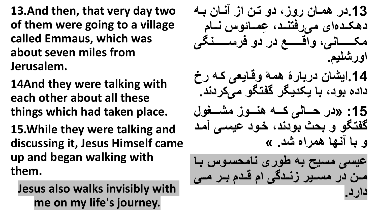**13.And then, that very day two of them were going to a village called Emmaus, which was about seven miles from Jerusalem.**

**14And they were talking with each other about all these things which had taken place.** 

**15.While they were talking and discussing it, Jesus Himself came up and began walking with them.**

**Jesus also walks invisibly with me on my life's journey.**

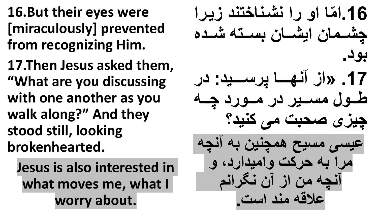**16.But their eyes were [miraculously] prevented from recognizing Him.**

**17.Then Jesus asked them, "What are you discussing with one another as you walk along?" And they stood still, looking brokenhearted.**

**Jesus is also interested in what moves me, what I worry about.**

**م ن، رن بشاب خ بد یارن .16ن ّ چشاام ر نیشاا ر ااا شاادی بود. .17 »ن بهااااا ر اااااید: در**  طول مسير در مورد چه **چی ی صح ت مف هبید؟**  عیسی مسیح همچنین به آنچه **مرن حرهت ،نمیدنردد ،**  آنچه من از آن نگرانم **سالف مبد ن ت.**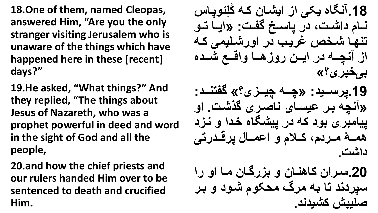**18.One of them, named Cleopas, answered Him, "Are you the only stranger visiting Jerusalem who is unaware of the things which have happened here in these [recent] days?"**

**19.He asked, "What things?" And they replied, "The things about Jesus of Nazareth, who was a prophet powerful in deed and word in the sight of God and all the people,**

**20.and how the chief priests and our rulers handed Him over to be sentenced to death and crucified Him.**

**ه ل ، ا .18 ب ی یکف ن نیشا ر ها ِ** نسام داشت، در یاسخ گفت: «آیا تو  **بها شاخی ریاو در ن،رشالیمف ها ن بچااا در نیااار ر، هااا ،نفااا شااادی بیخبری؟»** 19 .پرسـيد: «چــه چيــزى؟» گفتنــد: **» بچ ار سی ا ی ب صاری گ شات. ن،** ییامبری بود که در پیشگاه خدا و نزد همـــهٔ مــردم، كــلام و اعمــال پرقــدرت*ي* **دنشت.**

**.20 ارنر ه هبا ر ، رگا ر ما ن، رن**  سیردند تا به مرگ محکوم شود و بر **صلی ش هشیدبد.**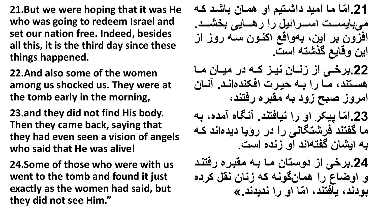**21.But we were hoping that it was He who was going to redeem Israel and set our nation free. Indeed, besides all this, it is the third day since these things happened.**

**22.And also some of the women among us shocked us. They were at the tomb early in the morning,**

**23.and they did not find His body. Then they came back, saying that they had even seen a vision of angels who said that He was alive!**

**24.Some of those who were with us went to the tomb and found it just exactly as the women had said, but they did not see Him."** 

**م م نمید دنشا ی ن، هما ر شاد ها .21ن ّ مف ی اااات ن اااارن ی رن رهاااا یف خشااااد.**  افزون بر این، ب**هواقع اکنون سه روز از** این وقایع گذشته است<u>.</u> **.22 رخااف ن باا ر بیاا هاا در میاا ر ماا**  هستند، مـا را بـه حیرت افکندهانـد. آنـا*ن* امروز صبح زود به مقبره رفتند، **. ب ی مدید م یکر ن، رن بی د بد .23ن ّ** ما گفتند فرشتگانی را در رؤیا دیدهاند ک**ه** به ایشان گفتهاند او زنده است<u>.</u> **.24 رخف ن د، ر ما ا مق اری رد باد ، ن،ض ع رن هم ر گ،ب ه ب ر بق هردی ». م ن، رن بدیدبد ،دبدد ی د بدد ن ّ**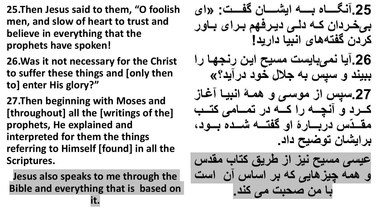- **25.Then Jesus said to them, "O foolish men, and slow of heart to trust and believe in everything that the prophets have spoken!**
- **26.Was it not necessary for the Christ to suffer these things and [only then to] enter His glory?"**
- **27.Then beginning with Moses and [throughout] all the [writings of the] prophets, He explained and interpreted for them the things referring to Himself [found] in all the Scriptures.**
- **Jesus also speaks to me through the Bible and everything that is based on**

**it.**

**.25 ب ااااا ی ااااا نیشااااا ر گفااااات: »نی**  بیخردان که دل*ی* دیرفهم برای باور **هردر گف ه ی نب ی دنرید! .26 ی بمف ی ت م یح نیار ربهها رن**  ببیند و سپس به جلال خود در آید؟» **.27 ن م، اف ، هماۀ نب یا ا هااارد ، بچااا رن هااا در مااا مف ه اااو**  مقــدّس در بـــارۀ او گفتــه شـــده بــود، بر ایشان توضیح داد<sub>.</sub> **سی ف م یح بی ن طریق ه و مقد**  و همه چیزهایی که بر اساس آن است با من صحبت می کند.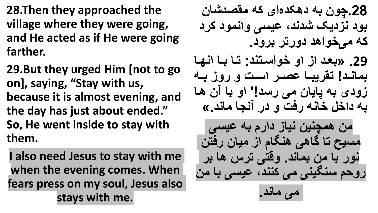**28.Then they approached the village where they were going, and He acted as if He were going farther.**

**29.But they urged Him [not to go on], saying, "Stay with us, because it is almost evening, and the day has just about ended." So, He went inside to stay with them.**

**I also need Jesus to stay with me when the evening comes. When fears press on my soul, Jesus also stays with me.**

**.28چ،ر دهکدی نی ه مقصدش ر ،د ب دیک شدبدد سی ف ،نبم،د هرد**  که می **خواهد دورتر برود. .29 » یاد ن ن، خ،ن ا بد: ا ا نبها**  بماند! تقریبا عصر است و روز به زودی به پایان می رسد!' او با آن ها به داخل خانه رفت و در آنجا ماند.» <mark>من همچنین نیاز دارم به عیسی</mark> مسیح تا گاهی هنگام از میا*ن* رفتن **ب،ر مر م بد. ،ف ف ر ه ر ر،ح ب یبف مف هببدد سی ف مر**

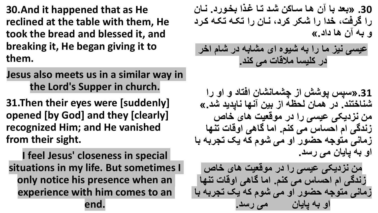**30.And it happened that as He reclined at the table with them, He took the bread and blessed it, and breaking it, He began giving it to them.**

**Jesus also meets us in a similar way in the Lord's Supper in church.**

**31.Then their eyes were [suddenly] opened [by God] and they [clearly] recognized Him; and He vanished from their sight.**

**I feel Jesus' closeness in special situations in my life. But sometimes I only notice his presence when an experience with him comes to an end.**

**.30 » ید ر ها ا هر شاد ا ا ن خا،رد. با ر رن گردتد خدن رن شکر هردد با ر رن کا کا هارد ، ر ه دند.«** حیسی نیز ما را به شیوه ای مشابه در شام اخر در كليسا ملاقا*ت مي* كند.

31. «سپس پوشش از چشمانشان افتاد و او را **شب خ بد. در هم ر هحظ ن یر به ب دید شد.«** من نزدیکی عیسی را در موقعیت های خاص زندگ*ی* ام احساس می کنم. اما گاهی اوقات تنها زمان*ی* متوجه حضور او می شوم که یک تجربه با او به یایا*ن می ر*سد.

من نزدیکی عیسی را در موقعیت های خاص زندگ*ی* ام احساس می کنم. اما گاهی اوقات تنها زمان*ی* متوجه حضور او می شوم که یک تجربه با او به یایا*ن* می رسد.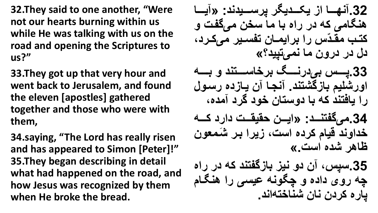**32.They said to one another, "Were not our hearts burning within us while He was talking with us on the road and opening the Scriptures to us?"**

**33.They got up that very hour and went back to Jerusalem, and found the eleven [apostles] gathered together and those who were with them,**

**34.saying, "The Lord has really risen and has appeared to Simon [Peter]!" 35.They began describing in detail what had happened on the road, and how Jesus was recognized by them when He broke the bread.**

32.آنهـــا از یکـــدیگر پرســـيدند: «آیـــا هنگامی که در راه با ما سخن میگفت و **ه ااو مقاادّ رن رنیماا ر ف اایر مف هااردد دل در درون ما نمی تیید؟»** 33 ایسس بی درنسگ برخاسستند و بسه اورشلیم بازگشتند. آنجا آن یازده رسول را یافتند که با دوستان خود گرد آمده، 34.موكفتنــد: «ايــن حقيقــت دارد كـــه خداوند قیام کرده است، زیرا بر شَمع*ون* **ظ هر شدی ن ت.«** 35.سپس، آن دو نیز بازگفتند که در راه چه روی داده و چگونه عی*سی* را هنگام يار ه كرد*ن* نان شناختهاند.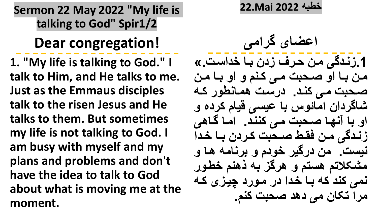**Sermon 22 May 2022 "My life is talking to God" Spir1/2**

**Dear congregation!**

**1. "My life is talking to God." I talk to Him, and He talks to me. Just as the Emmaus disciples talk to the risen Jesus and He talks to them. But sometimes my life is not talking to God. I am busy with myself and my plans and problems and don't have the idea to talk to God about what is moving me at the moment.**

**خط 2022 Mai22.**

**نسض ی گرنمف .1 بادگف مار حارب در ا خدن ات.«**  من با او صحبت م*ی* کنم و او با من **صاح ت ماف هباد. در ات هما بط،ر ها ش گردنر نم ، سی ف فی هردی ،**  او با آنها صحبت مي كنند. اما گاهي زندگی من فقط صـحبت کـردن بـا خـدا نیست<sub>.</sub> من درگیر خودم و برنامه ها و مشکلاتم هستم و هرگز به ذهنم خطور نمی کند که با خدا در مورد چیزی که **مرن ک ر مف دهد صح ت هب .**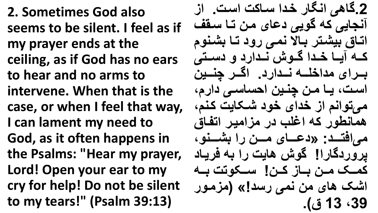**2. Sometimes God also seems to be silent. I feel as if my prayer ends at the ceiling, as if God has no ears to hear and no arms to intervene. When that is the case, or when I feel that way, I can lament my need to God, as it often happens in the Psalms: "Hear my prayer, Lord! Open your ear to my cry for help! Do not be silent to my tears!" (Psalm 39:13)**

2.گاه<sub>و،</sub> انگار خدا ساکت است. از آنجایی که گویی دعای من تـا سقف اتـاق بیشـتر بـالا نمـی رود تـا بشـنوم کـه آیــا خـدا گـوش نـدارد و دسـت*ی* بهرای مداخله ن**هدارد. اگر چنبین** است، یا من چنین احساس*ی* دارم، **مف ،نب ن خدنی خ،د شاک یت هاب د**  همانطور که اغلب در مزامیر اتفاق **مف ند ااااد: »دساااا ی ماااار رن شااااب،د**  پروردگار**!! گوش هایت را به فری**اد كمــك مــن بــاز كــن! ســكوتت بــه اشک های من نمی رسد!» (مزمور **39د 13 ب(.**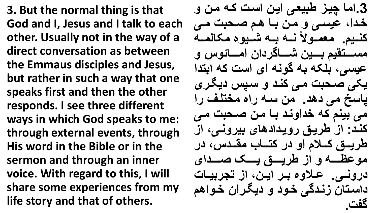**3. But the normal thing is that God and I, Jesus and I talk to each other. Usually not in the way of a direct conversation as between the Emmaus disciples and Jesus, but rather in such a way that one speaks first and then the other responds. I see three different ways in which God speaks to me: through external events, through His word in the Bible or in the sermon and through an inner voice. With regard to this, I will share some experiences from my life story and that of others.**

3.اما چیز طبیعی این است که من و خدا، عی*سی و من ب*ا هم صحبت می **میماا،ره باا اا شاای،ی مک هماا هباای .**  مســــتقيم بــــين شـــــاگردان امـــــائوس و عیسی، بلکه به گونه ای است که ابتدا یکی صحبت می کند و سیس دیگر*ی* ياسخ مي دهد. من سه راه مختلف را مي بينم كه خداوند بـا من صـحبت م*ـي* **هباد: ن طریاق ر،یادنده ی یر،بافد ن طریاااق هاااال ن، در ه ااا و مقاااد د در م،سظااااا ، ن طریاااااق یاااااک صااااادنی**  درون*ـی.* علاوه بـر ایـن، از تجربیـات داستا*ن* زندگ*ی* خود و دیگران خواهم **. گفت**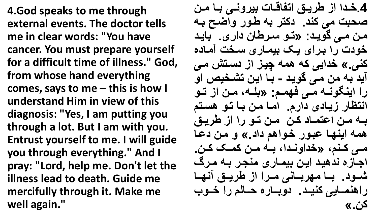**4.God speaks to me through external events. The doctor tells me in clear words: "You have cancer. You must prepare yourself for a difficult time of illness." God, from whose hand everything comes, says to me – this is how I understand Him in view of this diagnosis: "Yes, I am putting you through a lot. But I am with you. Entrust yourself to me. I will guide you through everything." And I pray: "Lord, help me. Don't let the illness lead to death. Guide me mercifully through it. Make me well again."**

4.خدا از طریق اتفاقات بیرون*ی* با من صحبت می کند<sub>.</sub> دکتر به طور واضح به **مار ماف گ،یاد: » ا، ارط ر دنری. یاد**  خودت را برای یک بی*م*اری سخت آماده کنی.» خدایی که همه چیز از دستش م*ی* آيد به من مي گويد - بـا اين تشخيص او **رن نیب ،باا مااف دهماا : » لاا د ماار ن اا،**  انتظار زیا*دی* دارم. اما من با تو هستم به من اعتمـاد كن من تـو را از طريق همه اينها عبور خواهم داد<sub>.»</sub> و من دعا **مااف هااب د »خدن،باادند اا ماار همااک هاار. نها ی بدهیاد نیار یما ری مبهار ا مارگ شاا،د. اا مهر اا بف ماارن ن طریااق بهاا رنهبماا یف هبیااد. د، اا ری حاا ه رن خاا،و هر.«**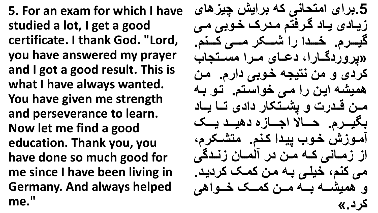**5. For an exam for which I have studied a lot, I get a good certificate. I thank God. "Lord, you have answered my prayer and I got a good result. This is what I have always wanted. You have given me strength and perseverance to learn. Now let me find a good education. Thank you, you have done so much good for me since I have been living in Germany. And always helped me."**

5 برای امتحانی که برایش چیزها*ی* زیا*دی* یاد گرفتم مدرک خوب*ی می* گیـــرم. خــدا را شـــكر مـــ*ى* كــنم. **» ر،ردگاا رند دساا ی ماارن م اا ه و هردی ، مر ب یه خا، ف دنر . مار** همیشه این را می خواستم. تو به هـن قـدرت و پشـتکار داد*ی* تــا یــاد بگیـــرم. حــــالا اجـــازه دهیـــد یـــک  **ما، ش خا،و یادن هاب . م شاکر د** از زمــان*ـی* کــه مـن در آلمــان زنــدگ*ی* **مف هب د خیلاف ا مار هماک هردیاد. ، همیشااا ااا مااار هماااک خااا،نهف هرد.«**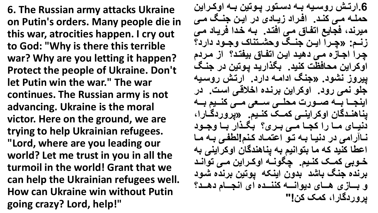**6. The Russian army attacks Ukraine on Putin's orders. Many people die in this war, atrocities happen. I cry out to God: "Why is there this terrible war? Why are you letting it happen? Protect the people of Ukraine. Don't let Putin win the war." The war continues. The Russian army is not advancing. Ukraine is the moral victor. Here on the ground, we are trying to help Ukrainian refugees. "Lord, where are you leading our world? Let me trust in you in all the turmoil in the world! Grant that we can help the Ukrainian refugees well. How can Ukraine win without Putin going crazy? Lord, help!"**

**.6نر ااش ر، اای اا د اا ،ر اا، یر اا ن،هاارنیر**  حملــه مــی کنــد<sub>.</sub> افـراد زیــادی در ایـن جنــگ مــی میرند، فجایع اتفاق م*ی* افتد<sub>.</sub> بـه خدا فریـاد مـی زنـم: «چـرا ایـن جنـگ وحشـتناک وجـود دارد؟ **چارن نها ی ماف دهیاد نیار ن فا ب یف اد؟ ن مارد**  اوکراین محافظت کنید<sub>.</sub> بگذارید پوتین در جنگ **ییروز نشود<sub>.</sub> «جنگ ادامه دارد. ارتش روسیه هل، بمف ر،د. ن،هرنیر ربادی نخالفاف ن ات. در**  اینجــا بــه صــورت محلــ*ی ســعی* مــی کنــیم بــه يناهنـدگان اوكراين*ـی* كمــک كنـيم. «پروردگــارا، دنیـای مــا را کجــا مــی بـری؟ بگـذار بــا وجـود **با رنمف در دبیا ا ا، نس ما د هاب !هطفاف ا ما**  اعطا کنید که ما بتوانیم به یناهندگان اوکراین*ی* به خوبی کمک کنیم. چگونــه اوکـراین مـ*ی* توانـد برنده جنگ باشد بدون اینکه یوتین برنده شود **، اااا ی هاااا ی دی،نباااا هبباااادی نی نبهاااا دهااااد؟**  يروردگارا، ك*م*ك كن!**"**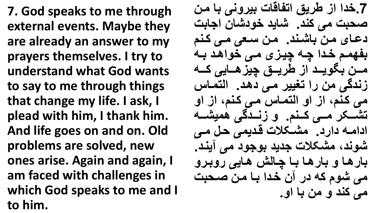**7. God speaks to me through external events. Maybe they are already an answer to my prayers themselves. I try to understand what God wants to say to me through things that change my life. I ask, I plead with him, I thank him. And life goes on and on. Old problems are solved, new ones arise. Again and again, I am faced with challenges in which God speaks to me and I to him.**

**.7خدن ن طریق ن ف ف ت یر،بف مار**  صحبت می کند<sub>.</sub> شاید خودشان اجابت **دسا ی مار شابد. مار ایف ماف هاب**  بفهمم خدا چه چیزی می خواهد به مــن بگویــد از طریــق چیزهــایی کــه  **بدگف مر رن ییر ماف دهاد. نه ما**  م*ی* کنم، از او التماس می کنم، از او تشــکر مــی کــنم. و زنــدگی همیشــه **ندنما دنرد. مشاکالت فادیمف حا ماف**  شوند، مشکلات جدید بوجود م*ی* آیند. بار *ه*ا و بار ها با چالش هایی روبرو م*ی* شوم که در آن خدا با من صحبت **می کند و من با او ـ**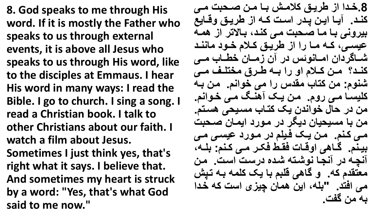**8. God speaks to me through His word. If it is mostly the Father who speaks to us through external events, it is above all Jesus who speaks to us through His word, like to the disciples at Emmaus. I hear His word in many ways: I read the Bible. I go to church. I sing a song. I read a Christian book. I talk to other Christians about our faith. I watch a film about Jesus. Sometimes I just think yes, that's right what it says. I believe that. And sometimes my heart is struck by a word: "Yes, that's what God said to me now."**

8.خدا از طریق کلامش بـا مـن صـحبت مـي **هبااد. یاا نیاار اادر ن اات هاا ن طریااق ،فاا ی**  بیرون*ی* با ما صحبت می کند، بالاتر از همه **سی اافد هاا ماا رن ن طریااق هااال خاا،د م ببااد شاا گردنر نماا ب، در ر ماا ر خطاا و مااف هبااد؟ ماار هااال ن، رن اا طاارب مخ لااب مااف**  شنوم: من كتاب مقدس را م*ى* خوانم. من بـه **هلی ا ماف ر، . مار یاک هبا ماف خا،نب .**  من در حال خواندن یک کتـاب مسـيحي هسـتم<u>.</u> ِ من با مسیحیان دیگر در مورد ای*مــان صـحبت* **ماف هاب . مار یاک دایل در ما،رد سی اف ماف**  بینم. گاهی اوقات فقط فکر م*ی* کنم: بله، آ**نچه در آنجا نوشته شده درست است. من** معتقدم که<sub>.</sub> و گاهی قلبم با یک کلمه بـه تپش ِ می افتد<sub>.</sub> "بله، این همان چیزی است که خدا  **مر گفت.**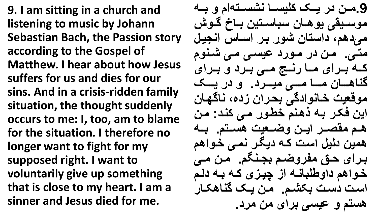**9. I am sitting in a church and listening to music by Johann Sebastian Bach, the Passion story according to the Gospel of Matthew. I hear about how Jesus suffers for us and dies for our sins. And in a crisis-ridden family situation, the thought suddenly occurs to me: I, too, am to blame for the situation. I therefore no longer want to fight for my supposed right. I want to voluntarily give up something that is close to my heart. I am a sinner and Jesus died for me.**

9.مـن در یــک کلیســا نشســته|م و بــه موسيقى يوهـان سباسـتين بــاخ گـوش میدهم، داستان شور بر اساس انجیل متی. من در مورد عیسی می شنوم **هاا اارنی ماا رباار مااف اارد ، اارنی گب هاااا ر ماااا مااااف میاااارد. ، در یااااک**  موقعیت خانوادگی بحرا*ن* زده، ناگهان این فکر بـه ذهنم خطور م*ـی* کند: من هم مقصـر ایـن وضـعیت هسـتم. بـه **همیر دهی ن ات ها دی ار بماف خا،نه**  برای حق مفروضم بجنگم. من م*ی* خواهم داوطلبانــه از چیزی کـه بــه دلـم **ن ات د ات کشا . مار یاک گب هکا ر**  هستم و عیس*ی بر*ا*ی* من مرد.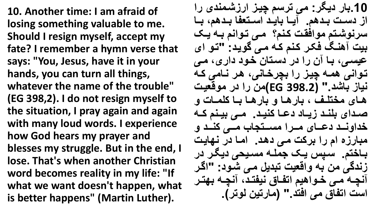**10. Another time: I am afraid of losing something valuable to me. Should I resign myself, accept my fate? I remember a hymn verse that says: "You, Jesus, have it in your hands, you can turn all things, whatever the name of the trouble" (EG 398,2). I do not resign myself to the situation, I pray again and again with many loud words. I experience how God hears my prayer and blesses my struggle. But in the end, I lose. That's when another Christian word becomes reality in my life: "If what we want doesn't happen, what is better happens" (Martin Luther).**

**.10 ر دی ر: مف ر چیا نر شامبدی رن**  از دست بدهم. آیا باید استعفا بدهم، با سرنوشتم موافقت کنم؟ م*ی* توانم بـه یـک بیت آهنگ فکر کنم که م*ی* گوید: "تو ای **سی افد ا ر رن در د ا ر خا،د دنرید ماف**  توان*ی* همه چیز را بچرخانی، هر نامی که **بی شد." (398.2 EG)مر رن در م،فییات**  هـا*ی* مختلـف ، بارهـا و بارهـا بـا کلمـات و **صاادنی لبااد یاا د دساا هبیااد. مااف یااب هاا خدن،باااد دسااا ی مااارن م ااا ه و ماااف هباااد ، م ر ی ن رن رهت ماف دهاد. نما در به یات**  باختم. سپس یک جمله مسیحی دیگر در  **بدگف مر ،نفییت دی ماف شا،د: "نگار**  آ**نچـه مـی خـواهیم اتفـاق نیفتـد، آنچـه بهتر** است اتفاق م*ی* افتد ." (مارتین لوتر) <u>.</u>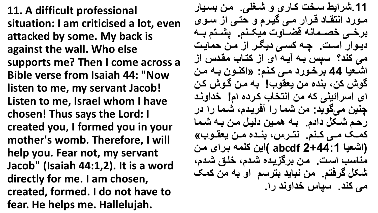**11. A difficult professional situation: I am criticised a lot, even attacked by some. My back is against the wall. Who else supports me? Then I come across a Bible verse from Isaiah 44: "Now listen to me, my servant Jacob! Listen to me, Israel whom I have chosen! Thus says the Lord: I created you, I formed you in your mother's womb. Therefore, I will help you. Fear not, my servant Jacob" (Isaiah 44:1,2). It is a word directly for me. I am chosen, created, formed. I do not have to fear. He helps me. Hallelujah.**

11 شرا**يط سخت كـاری و شـغلی. من بسيار** مورد انتقاد قرار م*ی* گیرم و حتی از سوی برخـي خصــمانـه قضـــاوت ميكــنم. پشــتم بــه دیوار است. چه کس*ی دی*گر از من حمایت می کند؟ سیس بـه آیـه ای از کتـاب مقدس از اشعيا 44 برخورد م*ي* كنم: «اكنون بـه من **گ،ش هرد بدی مر ییق،و! مار گا،ش هار**  ای اسرائیلی که من انتخاب کرده ام! خداوند **چنین میگوید: من شما را آفریدم، شما را در رحا شاک دند . ا همایر دهیا مار ا شام همااک مااف هااب . ب اار د باادی ماار ییقاا،و« )نشیی 2+44:1 abcdf) نیر هلم ارنی مار**  مناسب است. من برگزیده شدم، خلق شدم، شکل گرفتم<sub>.</sub> من نباید بترسم او به من کمک **می کند. سپاس خداوند را.**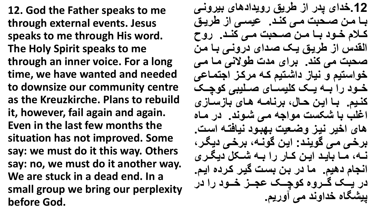**12. God the Father speaks to me through external events. Jesus speaks to me through His word. The Holy Spirit speaks to me through an inner voice. For a long time, we have wanted and needed to downsize our community centre as the Kreuzkirche. Plans to rebuild it, however, fail again and again. Even in the last few months the situation has not improved. Some say: we must do it this way. Others say: no, we must do it another way. We are stuck in a dead end. In a small group we bring our perplexity before God.**

**.12خدنی در ن طریق ر،یدنده ی یر،باف** بـــا مـن صـــحبت مــى كنــد. عيســى از طريــق **هااال خاا،د اا ماار صااح ت مااف هبااد. ر،ح**  القدس از طریق یک صدا*ی* درون*ی* با من صحبت می کند. برای مدت طولانی ما م*ی* خواستیم و نیاز داشتیم کـه مرکـز اجتمـاع*ی* خـود را بـه یـک کلی*سـای صـ*لیبی کوچـک **هبای . ا نیار حا د رب ما ها ی ا ی**  اغلب با شکست مواجه م*ی* شوند. در ماه **ه ی نخیر بیا ،ضاییت ه ا،د بی د ا ن ات.**  برخی می گویند: این گونـه، برخی دیگر، **باا د ماا یااد نیاار هاا ر رن اا شااک دی ااری**  انجام دهیم<sub>-</sub> ما در بن بست گیر کرده ایم<sub>-</sub> در یــک گـروه کوچــک عجـز خـود را در **ییشگاه خداوند می آوریم.**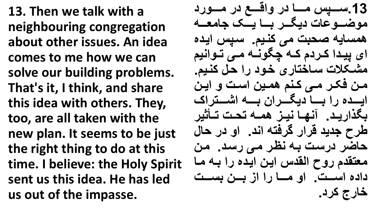**13. Then we talk with a neighbouring congregation about other issues. An idea comes to me how we can solve our building problems. That's it, I think, and share this idea with others. They, too, are all taken with the new plan. It seems to be just the right thing to do at this time. I believe: the Holy Spirit sent us this idea. He has led us out of the impasse.**

**.13 ااااا مااااا در ،نفااااا در مااااا،رد**  موضـــوعات دیگــر بـــا یـــک جامعــه **هم ی صح ت مف هبای . ا نیادی**  ای پیدا کردم که چگونـه مـی تـوانیم مشکلات ساختاری خود را حل کنیم. من فکر م*ی* کنم ه*م*ین است و این ایسده را بسا دیگ**سران بسه اشستراک** بگذارید. آنها نیز ه*م*ه تحت تأثیر **طرح هدید فرنر گرد نبد. ن، در ح ح ضر در ات ا بظار ماف ر اد. مار می قد ر،ح نهقد نیار نیادی رن ا ما دندی ن اااات. ن، ماااا رن ن اااار اااات خارج کرد.**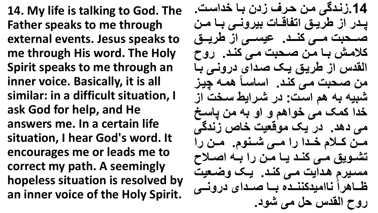**14. My life is talking to God. The Father speaks to me through external events. Jesus speaks to me through His word. The Holy Spirit speaks to me through an inner voice. Basically, it is all similar: in a difficult situation, I ask God for help, and He answers me. In a certain life situation, I hear God's word. It encourages me or leads me to correct my path. A seemingly hopeless situation is resolved by an inner voice of the Holy Spirit.**

14 زندگ*ی* من حرف زدن بـا خداست. يدر از طريق اتفاقات بيرون*ـى* بـا مـن صاحبت م*ے* کند. عیسے از طریق **هالماش ا مار صاح ت ماف هباد. ر،ح**  القدس از طریق یک صدای درون*ی* با هن صحبت م*ی* کند. اساساً همه چیز شبیه به هم است: در شرایط سخت از خدا کمک می خواهم و او به من **یاسخ** مي دهد. در یک موقعیت خاص زندگي **ماار هااال خاادن رن مااف شااب، . ماار رن شاا،یق مااف هبااد یاا ماار رن اا نصااالح**  مسیرم هدایت م*ی* کند. یک وضعیت **ظااا هرنه ب نمیدهببااادی ااا صااادنی در،باااف روح القدس حل می شود.**